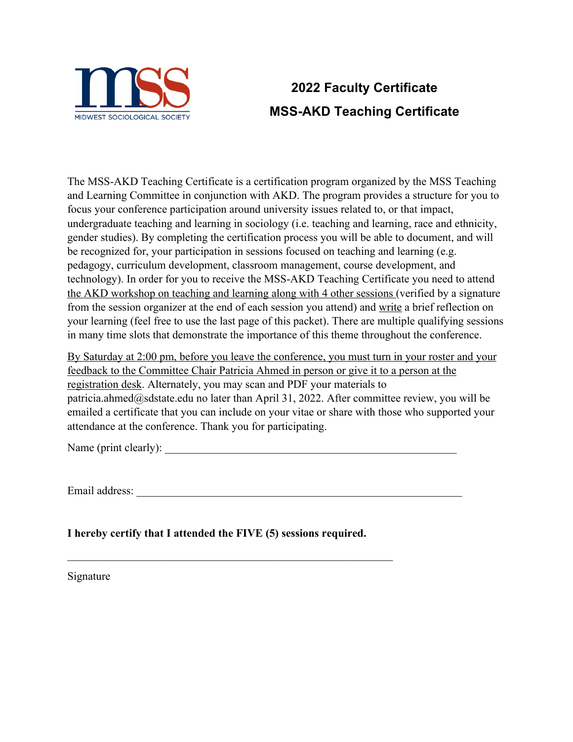

# **2022 Faculty Certificate MSS-AKD Teaching Certificate**

The MSS-AKD Teaching Certificate is a certification program organized by the MSS Teaching and Learning Committee in conjunction with AKD. The program provides a structure for you to focus your conference participation around university issues related to, or that impact, undergraduate teaching and learning in sociology (i.e. teaching and learning, race and ethnicity, gender studies). By completing the certification process you will be able to document, and will be recognized for, your participation in sessions focused on teaching and learning (e.g. pedagogy, curriculum development, classroom management, course development, and technology). In order for you to receive the MSS-AKD Teaching Certificate you need to attend the AKD workshop on teaching and learning along with 4 other sessions (verified by a signature from the session organizer at the end of each session you attend) and write a brief reflection on your learning (feel free to use the last page of this packet). There are multiple qualifying sessions in many time slots that demonstrate the importance of this theme throughout the conference.

By Saturday at 2:00 pm, before you leave the conference, you must turn in your roster and your feedback to the Committee Chair Patricia Ahmed in person or give it to a person at the registration desk. Alternately, you may scan and PDF your materials to patricia.ahmed $@s$ dstate.edu no later than April 31, 2022. After committee review, you will be emailed a certificate that you can include on your vitae or share with those who supported your attendance at the conference. Thank you for participating.

Name (print clearly):

Email address: \_\_\_\_\_\_\_\_\_\_\_\_\_\_\_\_\_\_\_\_\_\_\_\_\_\_\_\_\_\_\_\_\_\_\_\_\_\_\_\_\_\_\_\_\_\_\_\_\_\_\_\_\_\_\_\_\_\_

**I hereby certify that I attended the FIVE (5) sessions required.** 

Signature